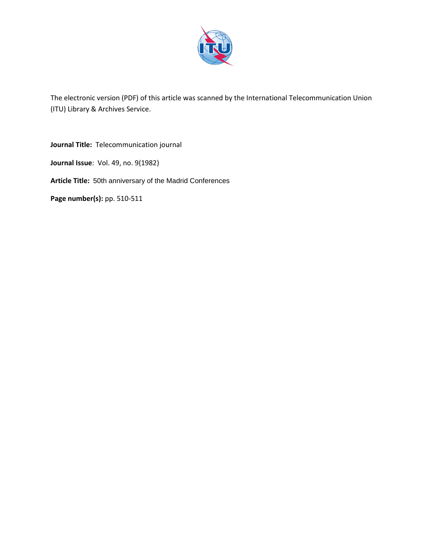

The electronic version (PDF) of this article was scanned by the International Telecommunication Union (ITU) Library & Archives Service.

**Journal Title:** Telecommunication journal **Journal Issue**: Vol. 49, no. 9(1982) **Article Title:** 50th anniversary of the Madrid Conferences **Page number(s):** pp. 510-511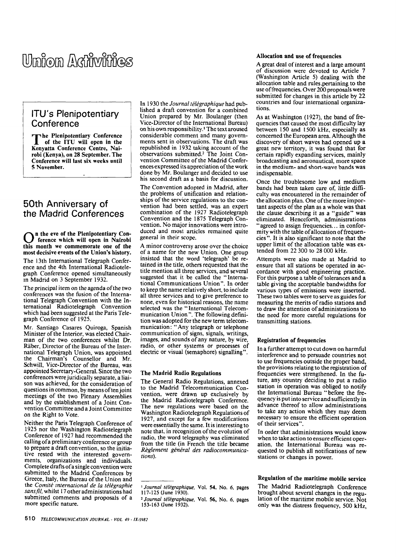# Umion Adim*i*nies

# ITU's Plenipotentiary Conference

**The Plenipotentiary Conference**<br>
of the ITU will open in the<br> **Kenyatte Conference Contre of the ITU will open in the Kenyatta Conférence Centre, Nairobi (Kenya), on 28 September. The Conférence will last six weeks until 5 November.** 

# 50th Anniversary of the Madrid Conférences

**O** In the eve of the Plenipotentiary Conference which will open in Nairobi this month we commemorate one of the **n the eve of the Plenipotentiary Conférence which will open in Nairobi most décisive events of the Union's history.**  The 13th International Telegraph Conférence and the 4th International Radiotelegraph Conférence opened simultaneously m Madrid on 3 September 1932.

The principal item on the agenda of the two conférences was the fusion of the International Telegraph Convention with the International Radiotelegraph Convention which had been suggested at the Paris Telegraph Conférence of 1925.

Mr. Santiago Casares Quiroga, Spanish Minister of the Interior, was elected Chairman of the two conférences whilst Dr. Ràber, Director of the Bureau of the International Telegraph Union, was appointed the Chairman's Counsellor and Mr. Schwill, Vice-Director of the Bureau, was appointed Secretary-General. Since the two conférences were juridically separate, a liaison was achieved, for the considération of questions in common, by means of ten joint meetings of the two Plenary Assemblies and by the establishment of a Joint Convention Committee and a Joint Committee on the Right to Vote.

Neither the Paris Telegraph Conférence of 1925 nor the Washington Radiotelegraph Conférence of 1927 had recommended the calling of a preliminary conférence or group to prepare a draft convention, so the initiative rested with the interested governments, organizations and individuals. Complete drafts of a single convention were submitted to the Madrid Conferences by Greece, Italy, the Bureau of the Union and the *Comité international de la télégraphie sans fil,* whilst 17 other administrations had submitted comments and proposais of a more specific nature.

In 1930 the *Journal télégraphique* had published a draft convention for a combined Union prepared by Mr. Boulanger (then Vice-Director of the International Bureau) on his own responsibility. ' The text aroused considérable comment and many governments sent in observations. The draft was republished in 1932 taking account of the observations submitted.<sup>2</sup> The Joint Convention Committee of the Madrid Conférences expressed its appreciation of the work done by Mr. Boulanger and decided to use his second draft as a basis for discussion.

The Convention adopted in Madrid, after the problems of unification and relationships of the service regulations to the convention had been settled, was an expert combination of the 1927 Radiotelegraph Convention and the 1875 Telegraph Convention. No major innovations were introduced and most articles remained quite gênerai in their scope.

A minor controversy arose over the choice of a name for the new Union. One group insisted that the word 'telegraph' be retained in the title, others requested that the title mention ail three services, and several suggested that it be called the "International Communications Union". In order to keep the name relatively short, to include all three services and to give preference to none, even for historical reasons, the name selected was the "International Telecommunication Union". The following définition was adopted for the new term telecommunication: "Any telegraph or telephone communication of signs, signais, writings, images, and sounds of any nature, by wire, radio, or other systems or processes of electric or visual (semaphore) signalling'

#### **The Madrid Radio Régulations**

The General Radio Régulations, annexed to the Madrid Telecommunication Convention, were drawn up exclusively by the Madrid Radiotelegraph Conférence. The new regulations were based on the Washington Radiotelegraph Régulations of 1927, and except for a few modifications were essentially the same. It is interesting to note that, in recognition of the evolution of radio, the word telegraphy was eliminated from the title (in French the title became *Règlement général des radiocommunications).* 

#### **Allocation and use of frequencies**

A great deal of interest and a large amount of discussion were devoted to Article 7 (Washington Article 5) dealing with **the**  allocation table and rules.pertaining to **the**  use of frequencies. Over 200 proposais were submitted for changes in this article by 22 countries and four international organizations.

As at Washington (1927), the band of frequencies that caused the most difficulty lay between 150 and 1500 kHz, especially as concerned the European area. Although the discovery of short waves had opened **up a**  great new territory, it was found that for certain rapidly expanding services, mainly broadeasting and aeronautical, more space in the medium- and short-wave bands was indispensable.

Once the troublesome low and medium bands had been taken care of, little difficulty was encountered in the remainder of the allocation plan. One of the more important aspects of the plan as a whole was **that**  the clause describing it as a "guide" **was**  eliminated. Henceforth, administrations "agreed to assign frequencies... in conformity with the table of allocation of frequencies". It is also significant to note that the upper limit of the allocation table was extended from 22 300 to 28 000 kHz.

Attempts were also made at Madrid to ensure that ail stations be operated in accordance with good engineering practice. For this purpose a table of tolérances and **a**  table giving the acceptable bandwidths for various types of émissions were inserted. These two tables were to serve as guides for measuring the merits of radio stations **and**  to draw the attention of administrations to the need for more careful regulations for transmitting stations.

## **Registration of frequencies**

In a further attempt to eut down on harmful interférence and to persuade countries not to use frequencies outside the proper band, the provisions relating to the registration of frequencies were strengthened. In the future, any country deciding to put a radio station in operation was obliged to notify the International Bureau "before the frequency is put into service and sufficiently in advance thereof to allow administrations to take any action which they may deem necessary to ensure the efficient opération of their services".

In order that administrations would know when to take action to ensure efficient operation, the International Bureau was requested to publish ail notifications of new stations or changes in power.

# **Régulation of the maritime mobile service**

The Madrid Radiotelegraph Conférence brought about several changes in the regulation of the maritime mobile service. Not only was the distress frequency, 500 kHz,

<sup>1</sup>  *Journal télégraphique,*  Vol. 54. No. *6,* pages 117-125 (June 1930).

<sup>2</sup>  *Journal télégraphique,*  Vol. 56, No. *6,* pages 153-163 (June 1932).